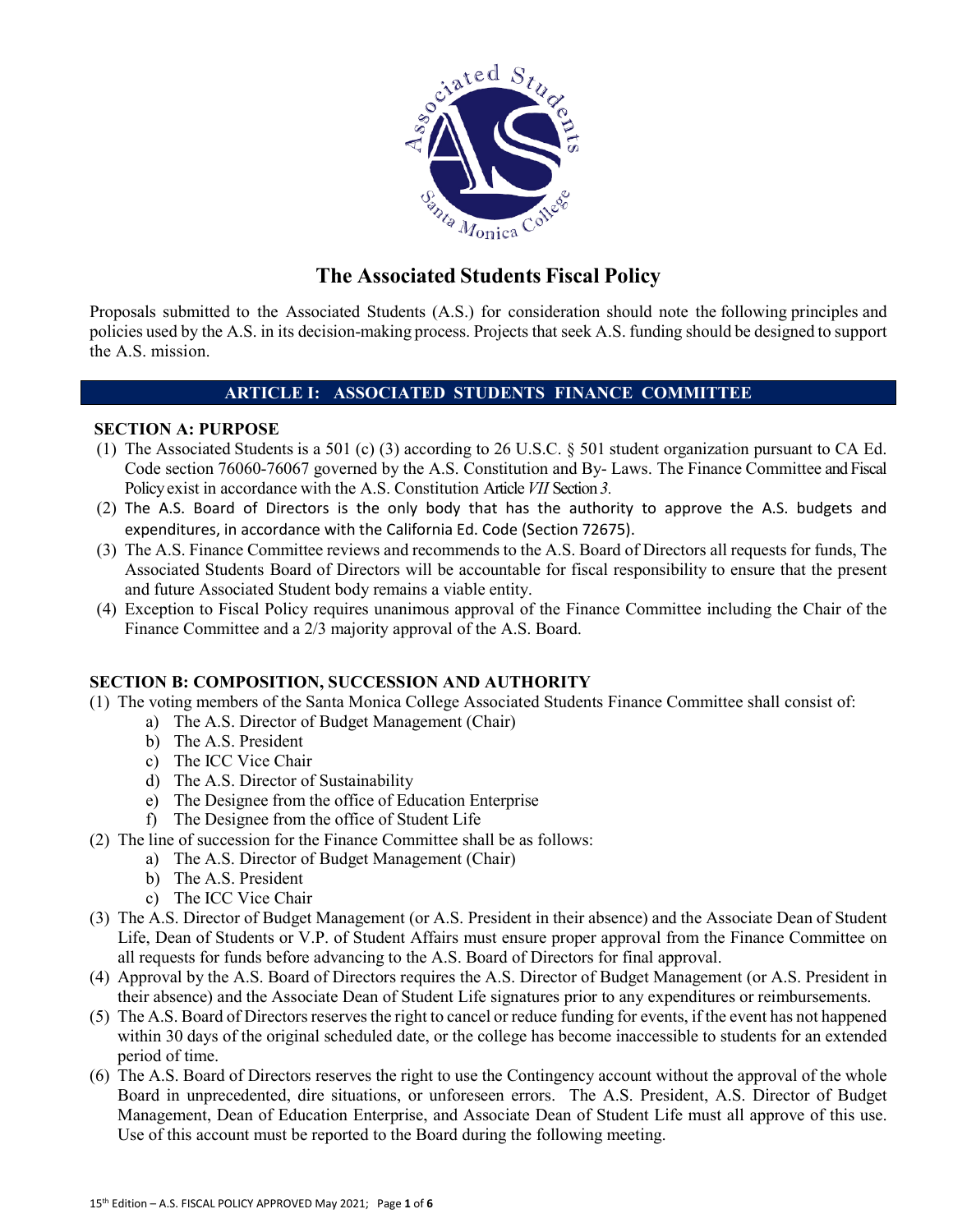

# **The Associated Students Fiscal Policy**

Proposals submitted to the Associated Students (A.S.) for consideration should note the following principles and policies used by the A.S. in its decision-making process. Projects that seek A.S. funding should be designed to support the A.S. mission.

# **ARTICLE I: ASSOCIATED STUDENTS FINANCE COMMITTEE**

### **SECTION A: PURPOSE**

- (1) The Associated Students is a 501 (c) (3) according to [26 U.S.C](https://en.wikipedia.org/wiki/Internal_Revenue_Code)[. § 501](https://www.law.cornell.edu/uscode/text/26/501) student organization pursuant to CA Ed. Code section 76060-76067 governed by the A.S. Constitution and By- Laws. The Finance Committee and Fiscal Policyexist in accordance with the A.S. Constitution Article*VII* Section *3.*
- (2) The A.S. Board of Directors is the only body that has the authority to approve the A.S. budgets and expenditures, in accordance with the California Ed. Code (Section 72675).
- (3) The A.S. Finance Committee reviews and recommends to the A.S. Board of Directors all requests for funds, The Associated Students Board of Directors will be accountable for fiscal responsibility to ensure that the present and future Associated Student body remains a viable entity.
- (4) Exception to Fiscal Policy requires unanimous approval of the Finance Committee including the Chair of the Finance Committee and a 2/3 majority approval of the A.S. Board.

# **SECTION B: COMPOSITION, SUCCESSION AND AUTHORITY**

- (1) The voting members of the Santa Monica College Associated Students Finance Committee shall consist of:
	- a) The A.S. Director of Budget Management (Chair)
	- b) The A.S. President
	- c) The ICC Vice Chair
	- d) The A.S. Director of Sustainability
	- e) The Designee from the office of Education Enterprise
	- f) The Designee from the office of Student Life
- (2) The line of succession for the Finance Committee shall be as follows:
	- a) The A.S. Director of Budget Management (Chair)
	- b) The A.S. President
	- c) The ICC Vice Chair
- (3) The A.S. Director of Budget Management (or A.S. President in their absence) and the Associate Dean of Student Life, Dean of Students or V.P. of Student Affairs must ensure proper approval from the Finance Committee on all requests for funds before advancing to the A.S. Board of Directors for final approval.
- (4) Approval by the A.S. Board of Directors requires the A.S. Director of Budget Management (or A.S. President in their absence) and the Associate Dean of Student Life signatures prior to any expenditures or reimbursements.
- (5) The A.S. Board of Directors reserves the right to cancel or reduce funding for events, if the event has not happened within 30 days of the original scheduled date, or the college has become inaccessible to students for an extended period of time.
- (6) The A.S. Board of Directors reserves the right to use the Contingency account without the approval of the whole Board in unprecedented, dire situations, or unforeseen errors. The A.S. President, A.S. Director of Budget Management, Dean of Education Enterprise, and Associate Dean of Student Life must all approve of this use. Use of this account must be reported to the Board during the following meeting.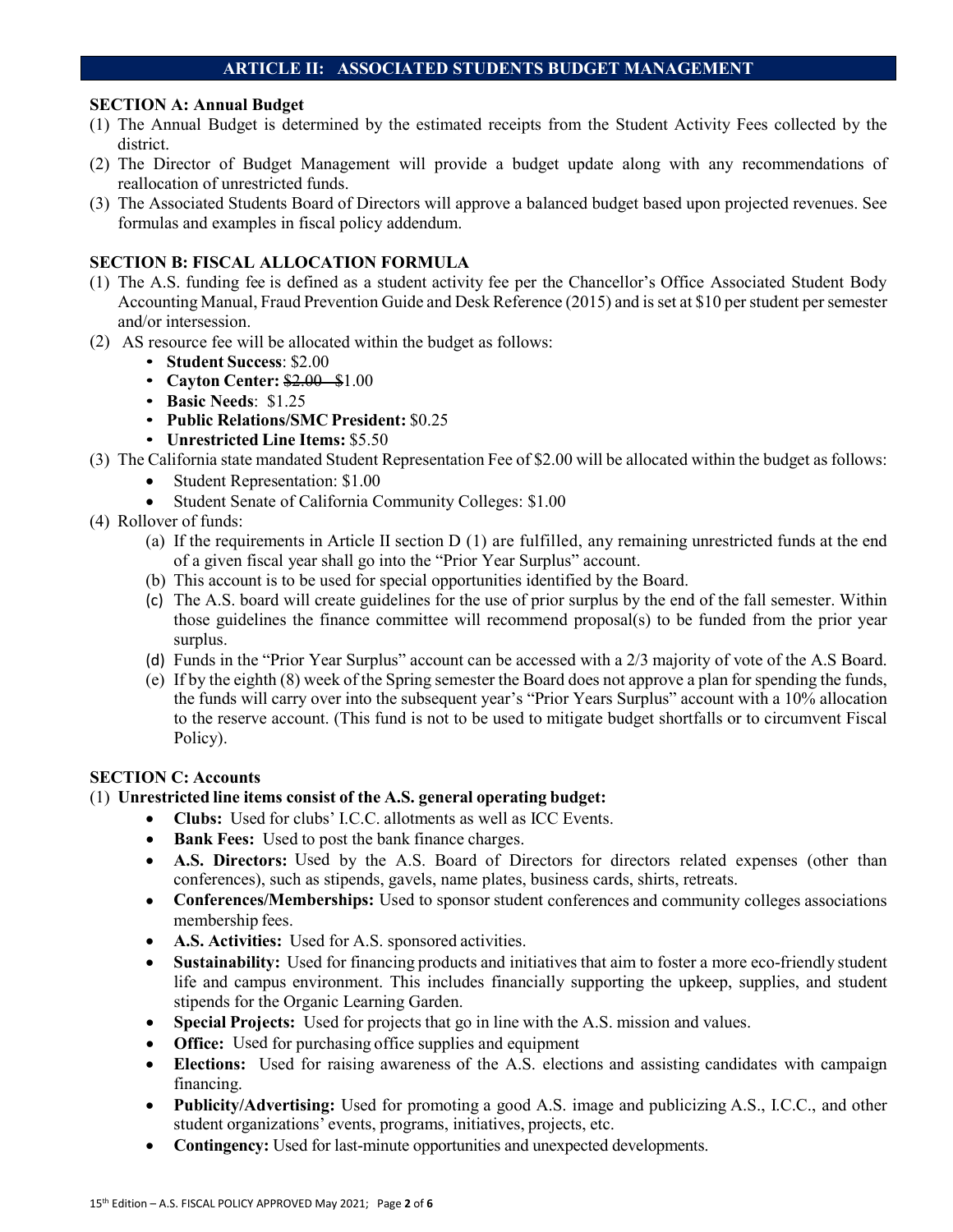# **ARTICLE II: ASSOCIATED STUDENTS BUDGET MANAGEMENT**

### **SECTION A: Annual Budget**

- (1) The Annual Budget is determined by the estimated receipts from the Student Activity Fees collected by the district.
- (2) The Director of Budget Management will provide a budget update along with any recommendations of reallocation of unrestricted funds.
- (3) The Associated Students Board of Directors will approve a balanced budget based upon projected revenues. See formulas and examples in fiscal policy addendum.

### **SECTION B: FISCAL ALLOCATION FORMULA**

- (1) The A.S. funding fee is defined as a student activity fee per the Chancellor's Office Associated Student Body Accounting Manual, Fraud Prevention Guide and Desk Reference (2015) and is set at \$10 per student per semester and/or intersession.
- (2) AS resource fee will be allocated within the budget as follows:
	- **Student Success**: \$2.00
	- **Cayton Center:** \$2.00 \$1.00
	- **Basic Needs**: \$1.25
	- **Public Relations/SMC President:** \$0.25
	- **Unrestricted Line Items:** \$5.50
- (3) The California state mandated Student Representation Fee of \$2.00 will be allocated within the budget as follows: • Student Representation: \$1.00
	- Student Senate of California Community Colleges: \$1.00
- (4) Rollover of funds:
	- (a) If the requirements in Article II section D (1) are fulfilled, any remaining unrestricted funds at the end of a given fiscal year shall go into the "Prior Year Surplus" account.
	- (b) This account is to be used for special opportunities identified by the Board.
	- (c) The A.S. board will create guidelines for the use of prior surplus by the end of the fall semester. Within those guidelines the finance committee will recommend proposal(s) to be funded from the prior year surplus.
	- (d) Funds in the "Prior Year Surplus" account can be accessed with a 2/3 majority of vote of the A.S Board.
	- (e) If by the eighth (8) week of the Spring semester the Board does not approve a plan for spending the funds, the funds will carry over into the subsequent year's "Prior Years Surplus" account with a 10% allocation to the reserve account. (This fund is not to be used to mitigate budget shortfalls or to circumvent Fiscal Policy).

### **SECTION C: Accounts**

- (1) **Unrestricted line items consist of the A.S. general operating budget:**
	- **Clubs:** Used for clubs' I.C.C. allotments as well as ICC Events.
	- **Bank Fees:** Used to post the bank finance charges.
	- **A.S. Directors:** Used by the A.S. Board of Directors for directors related expenses (other than conferences), such as stipends, gavels, name plates, business cards, shirts, retreats.
	- **Conferences/Memberships:** Used to sponsor student conferences and community colleges associations membership fees.
	- **A.S. Activities:** Used for A.S. sponsored activities.
	- **Sustainability:** Used for financing products and initiatives that aim to foster a more eco-friendly student life and campus environment. This includes financially supporting the upkeep, supplies, and student stipends for the Organic Learning Garden.
	- **Special Projects:** Used for projects that go in line with the A.S. mission and values.
	- **Office:** Used for purchasing office supplies and equipment
	- **Elections:** Used for raising awareness of the A.S. elections and assisting candidates with campaign financing.
	- **Publicity/Advertising:** Used for promoting a good A.S. image and publicizing A.S., I.C.C., and other student organizations' events, programs, initiatives, projects, etc.
	- **Contingency:** Used for last-minute opportunities and unexpected developments.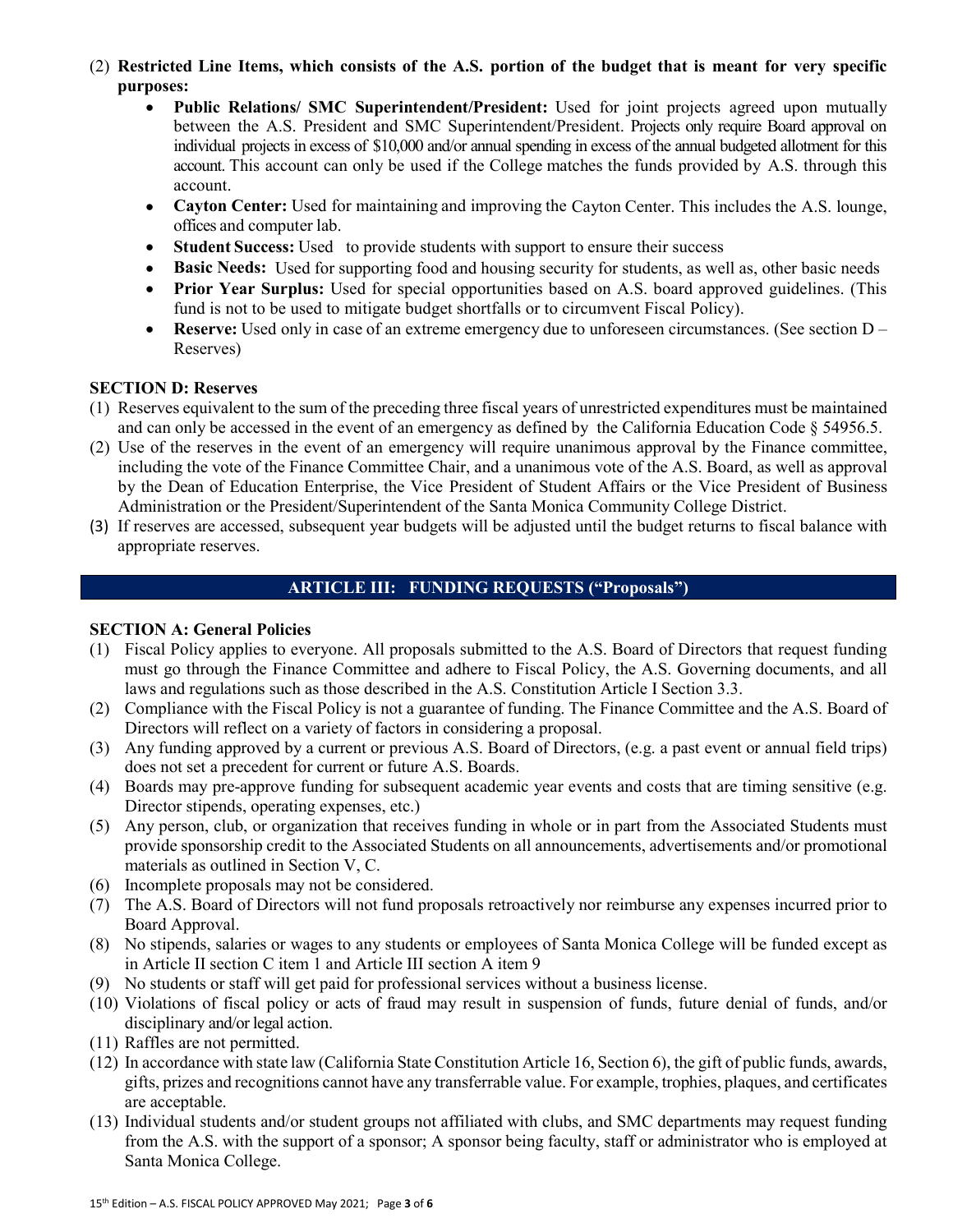(2) Restricted Line Items, which consists of the A.S. portion of the budget that is meant for very specific **purposes:**

- **Public Relations/ SMC Superintendent/President:** Used for joint projects agreed upon mutually between the A.S. President and SMC Superintendent/President. Projects only require Board approval on individual projects in excess of \$10,000 and/or annual spending in excess of the annual budgeted allotment for this account. This account can only be used if the College matches the funds provided by A.S. through this account.
- **Cayton Center:** Used for maintaining and improving the Cayton Center. This includes the A.S. lounge, offices and computer lab.
- **Student Success:** Used to provide students with support to ensure their success
- **Basic Needs:** Used for supporting food and housing security for students, as well as, other basic needs
- **Prior Year Surplus:** Used for special opportunities based on A.S. board approved guidelines. (This fund is not to be used to mitigate budget shortfalls or to circumvent Fiscal Policy).
- **Reserve:** Used only in case of an extreme emergency due to unforeseen circumstances. (See section  $D -$ Reserves)

#### **SECTION D: Reserves**

- (1) Reserves equivalent to the sum of the preceding three fiscal years of unrestricted expenditures must be maintained and can only be accessed in the event of an emergency as defined by the California Education Code § 54956.5.
- (2) Use of the reserves in the event of an emergency will require unanimous approval by the Finance committee, including the vote of the Finance Committee Chair, and a unanimous vote of the A.S. Board, as well as approval by the Dean of Education Enterprise, the Vice President of Student Affairs or the Vice President of Business Administration or the President/Superintendent of the Santa Monica Community College District.
- (3) If reserves are accessed, subsequent year budgets will be adjusted until the budget returns to fiscal balance with appropriate reserves.

#### **ARTICLE III: FUNDING REQUESTS ("Proposals")**

#### **SECTION A: General Policies**

- (1) Fiscal Policy applies to everyone. All proposals submitted to the A.S. Board of Directors that request funding must go through the Finance Committee and adhere to Fiscal Policy, the A.S. Governing documents, and all laws and regulations such as those described in the A.S. Constitution Article I Section 3.3.
- (2) Compliance with the Fiscal Policy is not a guarantee of funding. The Finance Committee and the A.S. Board of Directors will reflect on a variety of factors in considering a proposal.
- (3) Any funding approved by a current or previous A.S. Board of Directors, (e.g. a past event or annual field trips) does not set a precedent for current or future A.S. Boards.
- (4) Boards may pre-approve funding for subsequent academic year events and costs that are timing sensitive (e.g. Director stipends, operating expenses, etc.)
- (5) Any person, club, or organization that receives funding in whole or in part from the Associated Students must provide sponsorship credit to the Associated Students on all announcements, advertisements and/or promotional materials as outlined in Section V, C.
- (6) Incomplete proposals may not be considered.
- (7) The A.S. Board of Directors will not fund proposals retroactively nor reimburse any expenses incurred prior to Board Approval.
- (8) No stipends, salaries or wages to any students or employees of Santa Monica College will be funded except as in Article II section C item 1 and Article III section A item 9
- (9) No students or staff will get paid for professional services without a business license.
- (10) Violations of fiscal policy or acts of fraud may result in suspension of funds, future denial of funds, and/or disciplinary and/or legal action.
- (11) Raffles are not permitted.
- (12) In accordance with state law (California State Constitution Article 16, Section 6), the gift of public funds, awards, gifts, prizes and recognitions cannot have any transferrable value. For example, trophies, plaques, and certificates are acceptable.
- (13) Individual students and/or student groups not affiliated with clubs, and SMC departments may request funding from the A.S. with the support of a sponsor; A sponsor being faculty, staff or administrator who is employed at Santa Monica College.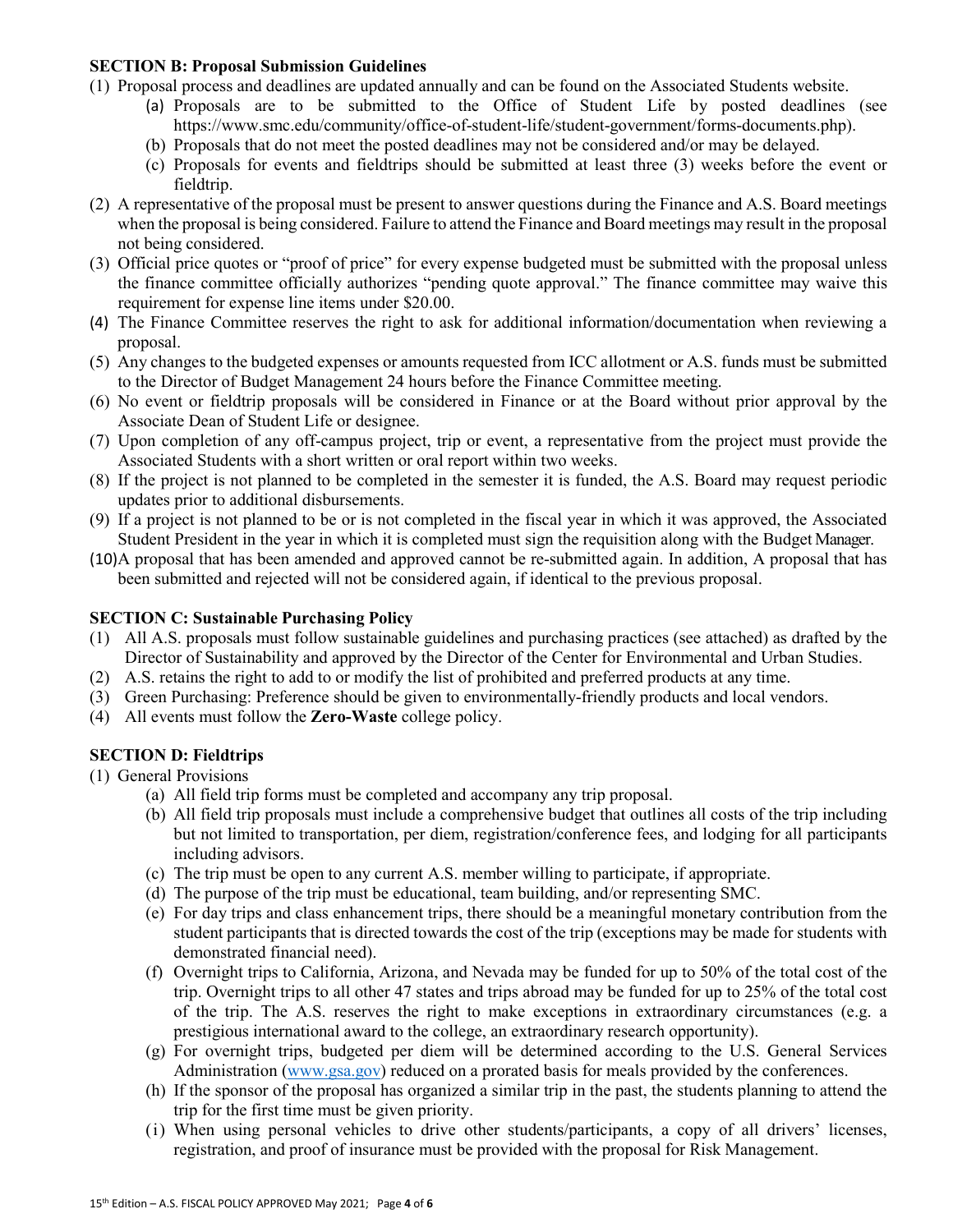#### **SECTION B: Proposal Submission Guidelines**

- (1) Proposal process and deadlines are updated annually and can be found on the Associated Students website.
	- (a) Proposals are to be submitted to the Office of Student Life by posted deadlines (see https://www.smc.edu/community/office-of-student-life/student-government/forms-documents.php).
	- (b) Proposals that do not meet the posted deadlines may not be considered and/or may be delayed.
	- (c) Proposals for events and fieldtrips should be submitted at least three (3) weeks before the event or fieldtrip.
- (2) A representative of the proposal must be present to answer questions during the Finance and A.S. Board meetings when the proposal is being considered. Failure to attend the Finance and Board meetings may result in the proposal not being considered.
- (3) Official price quotes or "proof of price" for every expense budgeted must be submitted with the proposal unless the finance committee officially authorizes "pending quote approval." The finance committee may waive this requirement for expense line items under \$20.00.
- (4) The Finance Committee reserves the right to ask for additional information/documentation when reviewing a proposal.
- (5) Any changes to the budgeted expenses or amounts requested from ICC allotment or A.S. funds must be submitted to the Director of Budget Management 24 hours before the Finance Committee meeting.
- (6) No event or fieldtrip proposals will be considered in Finance or at the Board without prior approval by the Associate Dean of Student Life or designee.
- (7) Upon completion of any off-campus project, trip or event, a representative from the project must provide the Associated Students with a short written or oral report within two weeks.
- (8) If the project is not planned to be completed in the semester it is funded, the A.S. Board may request periodic updates prior to additional disbursements.
- (9) If a project is not planned to be or is not completed in the fiscal year in which it was approved, the Associated Student President in the year in which it is completed must sign the requisition along with the Budget Manager.
- (10)A proposal that has been amended and approved cannot be re-submitted again. In addition, A proposal that has been submitted and rejected will not be considered again, if identical to the previous proposal.

### **SECTION C: Sustainable Purchasing Policy**

- (1) All A.S. proposals must follow sustainable guidelines and purchasing practices (see attached) as drafted by the Director of Sustainability and approved by the Director of the Center for Environmental and Urban Studies.
- (2) A.S. retains the right to add to or modify the list of prohibited and preferred products at any time.
- (3) Green Purchasing: Preference should be given to environmentally-friendly products and local vendors.
- (4) All events must follow the **Zero-Waste** college policy.

# **SECTION D: Fieldtrips**

(1) General Provisions

- (a) All field trip forms must be completed and accompany any trip proposal.
- (b) All field trip proposals must include a comprehensive budget that outlines all costs of the trip including but not limited to transportation, per diem, registration/conference fees, and lodging for all participants including advisors.
- (c) The trip must be open to any current A.S. member willing to participate, if appropriate.
- (d) The purpose of the trip must be educational, team building, and/or representing SMC.
- (e) For day trips and class enhancement trips, there should be a meaningful monetary contribution from the student participants that is directed towards the cost of the trip (exceptions may be made for students with demonstrated financial need).
- (f) Overnight trips to California, Arizona, and Nevada may be funded for up to 50% of the total cost of the trip. Overnight trips to all other 47 states and trips abroad may be funded for up to 25% of the total cost of the trip. The A.S. reserves the right to make exceptions in extraordinary circumstances (e.g. a prestigious international award to the college, an extraordinary research opportunity).
- (g) For overnight trips, budgeted per diem will be determined according to the U.S. General Services Administration [\(www.gsa.gov\)](https://www.gsa.gov/travel/plan-book/per-diem-rates) reduced on a prorated basis for meals provided by the conferences.
- (h) If the sponsor of the proposal has organized a similar trip in the past, the students planning to attend the trip for the first time must be given priority.
- (i) When using personal vehicles to drive other students/participants, a copy of all drivers' licenses, registration, and proof of insurance must be provided with the proposal for Risk Management.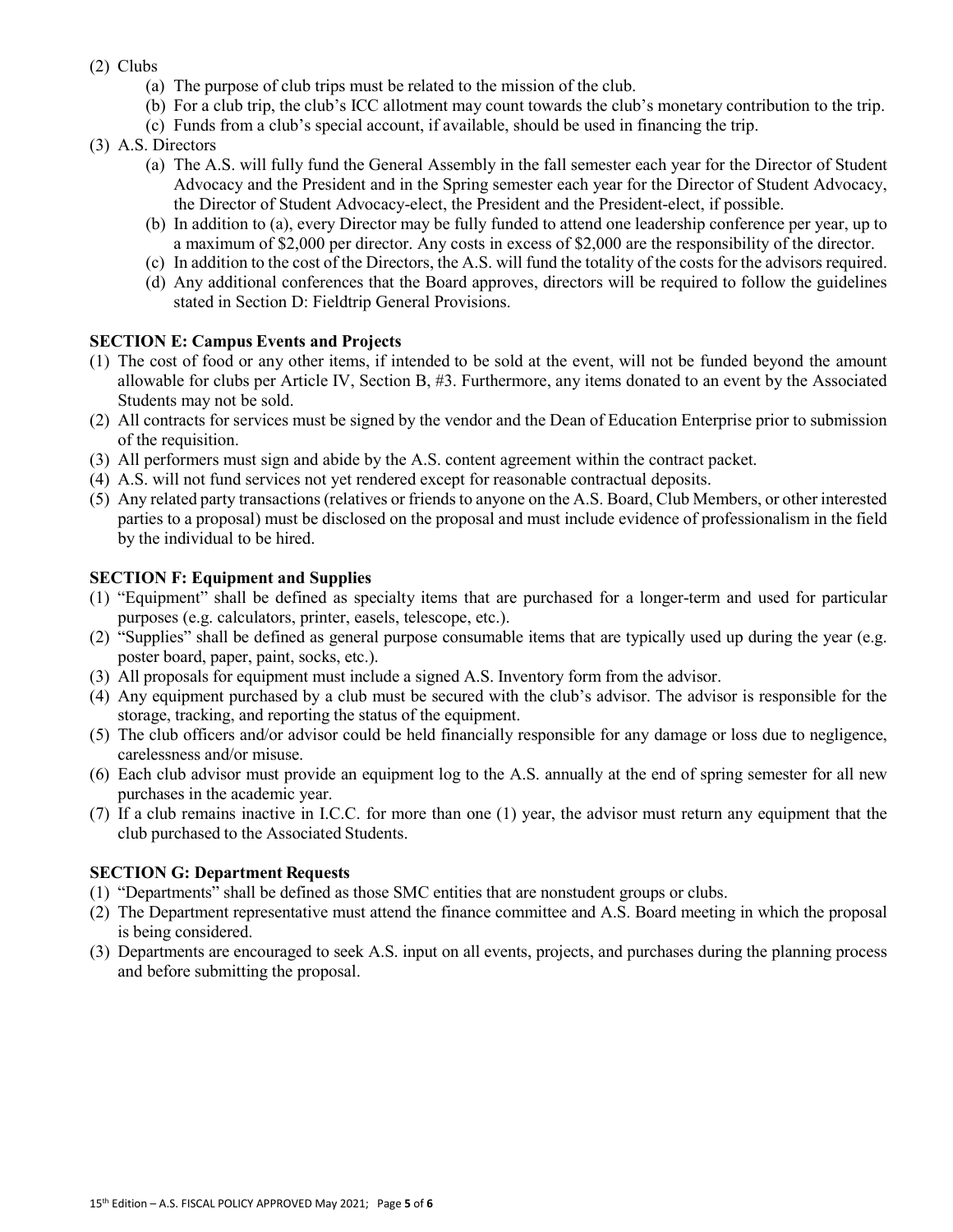- (2) Clubs
	- (a) The purpose of club trips must be related to the mission of the club.
	- (b) For a club trip, the club's ICC allotment may count towards the club's monetary contribution to the trip.
	- (c) Funds from a club's special account, if available, should be used in financing the trip.
- (3) A.S. Directors
	- (a) The A.S. will fully fund the General Assembly in the fall semester each year for the Director of Student Advocacy and the President and in the Spring semester each year for the Director of Student Advocacy, the Director of Student Advocacy-elect, the President and the President-elect, if possible.
	- (b) In addition to (a), every Director may be fully funded to attend one leadership conference per year, up to a maximum of \$2,000 per director. Any costs in excess of \$2,000 are the responsibility of the director.
	- (c) In addition to the cost of the Directors, the A.S. will fund the totality of the costs for the advisors required.
	- (d) Any additional conferences that the Board approves, directors will be required to follow the guidelines stated in Section D: Fieldtrip General Provisions.

# **SECTION E: Campus Events and Projects**

- (1) The cost of food or any other items, if intended to be sold at the event, will not be funded beyond the amount allowable for clubs per Article IV, Section B, #3. Furthermore, any items donated to an event by the Associated Students may not be sold.
- (2) All contracts for services must be signed by the vendor and the Dean of Education Enterprise prior to submission of the requisition.
- (3) All performers must sign and abide by the A.S. content agreement within the contract packet.
- (4) A.S. will not fund services not yet rendered except for reasonable contractual deposits.
- (5) Any related party transactions (relatives or friends to anyone on the A.S. Board, Club Members, or other interested parties to a proposal) must be disclosed on the proposal and must include evidence of professionalism in the field by the individual to be hired.

### **SECTION F: Equipment and Supplies**

- (1) "Equipment" shall be defined as specialty items that are purchased for a longer-term and used for particular purposes (e.g. calculators, printer, easels, telescope, etc.).
- (2) "Supplies" shall be defined as general purpose consumable items that are typically used up during the year (e.g. poster board, paper, paint, socks, etc.).
- (3) All proposals for equipment must include a signed A.S. Inventory form from the advisor.
- (4) Any equipment purchased by a club must be secured with the club's advisor. The advisor is responsible for the storage, tracking, and reporting the status of the equipment.
- (5) The club officers and/or advisor could be held financially responsible for any damage or loss due to negligence, carelessness and/or misuse.
- (6) Each club advisor must provide an equipment log to the A.S. annually at the end of spring semester for all new purchases in the academic year.
- (7) If a club remains inactive in I.C.C. for more than one (1) year, the advisor must return any equipment that the club purchased to the Associated Students.

# **SECTION G: Department Requests**

- (1) "Departments" shall be defined as those SMC entities that are nonstudent groups or clubs.
- (2) The Department representative must attend the finance committee and A.S. Board meeting in which the proposal is being considered.
- (3) Departments are encouraged to seek A.S. input on all events, projects, and purchases during the planning process and before submitting the proposal.